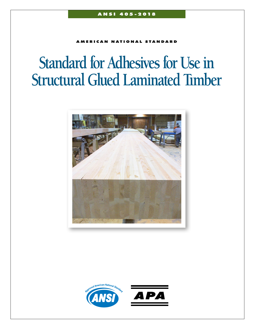AMERICAN NATIONAL STANDARD

# **Standard for Adhesives for Use in Structural Glued Laminated Tımber**



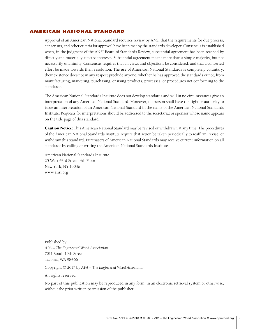# <span id="page-1-0"></span>AMERICAN NATIONAL STANDARD

Approval of an American National Standard requires review by ANSI that the requirements for due process, consensus, and other criteria for approval have been met by the standards developer. Consensus is established when, in the judgment of the ANSI Board of Standards Review, substantial agreement has been reached by directly and materially affected interests. Substantial agreement means more than a simple majority, but not necessarily unanimity. Consensus requires that all views and objections be considered, and that a concerted effort be made towards their resolution. The use of American National Standards is completely voluntary; their existence does not in any respect preclude anyone, whether he has approved the standards or not, from manufacturing, marketing, purchasing, or using products, processes, or procedures not conforming to the standards.

The American National Standards Institute does not develop standards and will in no circumstances give an interpretation of any American National Standard. Moreover, no person shall have the right or authority to issue an interpretation of an American National Standard in the name of the American National Standards Institute. Requests for interpretations should be addressed to the secretariat or sponsor whose name appears on the title page of this standard.

**Caution Notice:** This American National Standard may be revised or withdrawn at any time. The procedures of the American National Standards Institute require that action be taken periodically to reaffirm, revise, or withdraw this standard. Purchasers of American National Standards may receive current information on all standards by calling or writing the American National Standards Institute.

American National Standards Institute 25 West 43rd Street, 4th Floor New York, NY 10036 [www.ansi.org](http://www.ansi.org)

Published by *APA – The Engineered Wood Association* 7011 South 19th Street Tacoma, WA 98466

Copyright © 2017 by *APA – The Engineered Wood Association*

All rights reserved.

No part of this publication may be reproduced in any form, in an electronic retrieval system or otherwise, without the prior written permission of the publisher.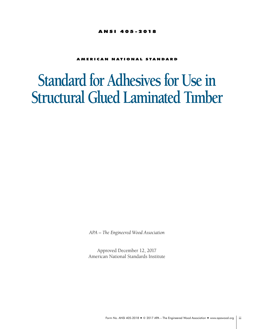# ANSI 405-2018

# AMERICAN NATIONAL STANDARD

# **Standard for Adhesives for Use in Structural Glued Laminated Tımber**

*APA – The Engineered Wood Association*

Approved December 12, 2017 American National Standards Institute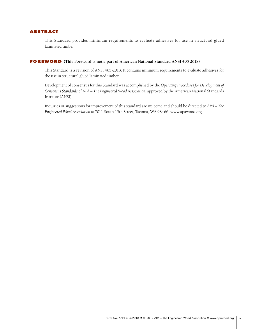# <span id="page-3-0"></span>ABSTRACT

This Standard provides minimum requirements to evaluate adhesives for use in structural glued laminated timber.

# FOREWORD **(This Foreword is not a part of American National Standard ANSI 405-2018)**

This Standard is a revision of ANSI 405-2013. It contains minimum requirements to evaluate adhesives for the use in structural glued laminated timber.

Development of consensus for this Standard was accomplished by the *Operating Procedures for Development of Consensus Standards* of *APA – The Engineered Wood Association,* approved by the American National Standards Institute (ANSI).

Inquiries or suggestions for improvement of this standard are welcome and should be directed to *APA – The Engineered Wood Association* at 7011 South 19th Street, Tacoma, WA 98466, [www.apawood.org](http://www.apawood.org).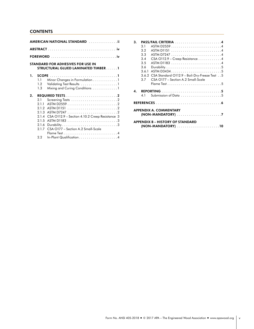# **CONTENTS**

|    |                                                                         | AMERICAN NATIONAL STANDARD ii                                                                                   |
|----|-------------------------------------------------------------------------|-----------------------------------------------------------------------------------------------------------------|
|    |                                                                         |                                                                                                                 |
|    |                                                                         |                                                                                                                 |
|    |                                                                         | <b>STANDARD FOR ADHESIVES FOR USE IN</b><br><b>STRUCTURAL GLUED LAMINATED TIMBER1</b>                           |
| 1. | 1.1<br>1.2 <sub>2</sub><br>1.3                                          | Minor Changes in Formulation1<br>Validating Test Results 1<br>Mixing and Curing Conditions 1                    |
| 2. | 2.1<br>2.1.1<br>212<br>2.1.3<br>2.1.4<br>2.1.5<br>2.1.6<br>2.1.7<br>2.2 | <b>REQUIRED TESTS</b> 2<br>CSA O112.9 - Section 4.10.2 Creep Resistance 3<br>CSA O177 - Section A.2 Small-Scale |

| 3. |       |                                                    |  |
|----|-------|----------------------------------------------------|--|
|    | 3.1   |                                                    |  |
|    | 3.2   |                                                    |  |
|    | 3.3   |                                                    |  |
|    | 3.4   | $CSA$ O112.9 – Creep Resistance 4                  |  |
|    | 3.5   |                                                    |  |
|    | 3.6   |                                                    |  |
|    | 3.6.1 | ASTM D34345                                        |  |
|    |       | 3.6.2 CSA Standard O112.9 - Boil-Dry-Freeze Test 5 |  |
|    | 3.7   | CSA O177 - Section A.2 Small-Scale                 |  |
|    |       |                                                    |  |
| 4. |       |                                                    |  |
|    | 4.1   |                                                    |  |
|    |       |                                                    |  |
|    |       | <b>APPENDIX A. COMMENTARY</b>                      |  |
|    |       | <b>APPENDIX B – HISTORY OF STANDARD</b>            |  |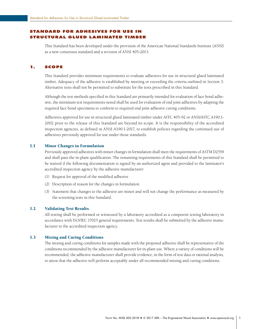# <span id="page-5-0"></span>STANDARD FOR ADHESIVES FOR USE IN STRUCTURAL GLUED LAMINATED TIMBER

This Standard has been developed under the provision of the American National Standards Institute (ANSI) as a new consensus standard and a revision of ANSI 405-2013.

#### 1. SCOPE

This Standard provides minimum requirements to evaluate adhesives for use in structural glued laminated timber. Adequacy of the adhesive is established by meeting or exceeding the criteria outlined in Section 3. Alternative tests shall not be permitted to substitute for the tests prescribed in this Standard.

Although the test methods specified in this Standard are primarily intended for evaluation of face bond adhesive, the minimum test requirements noted shall be used for evaluation of end joint adhesives by adapting the required face bond specimens to conform to required end joint adhesive curing conditions.

Adhesives approved for use in structural glued laminated timber under AITC 405-92 or ANSI/AITC A190.1- 2002 prior to the release of this Standard are beyond its scope. It is the responsibility of the accredited inspection agencies, as defined in ANSI A190.1-2017, to establish policies regarding the continued use of adhesives previously approved for use under those standards.

# 1.1 Minor Changes in Formulation

Previously approved adhesives with minor changes in formulation shall meet the requirements of ASTM D2559 and shall pass the in-plant qualification. The remaining requirements of this Standard shall be permitted to be waived if the following documentation is signed by an authorized agent and provided to the laminator's accredited inspection agency by the adhesive manufacturer:

- (1) Request for approval of the modified adhesive
- (2) Description of reason for the changes in formulation
- (3) Statement that changes to the adhesive are minor and will not change the performance as measured by the screening tests in this Standard.

# 1.2 Validating Test Results

All testing shall be performed or witnessed by a laboratory accredited as a competent testing laboratory in accordance with ISO/IEC 17025 general requirements. Test results shall be submitted by the adhesive manufacturer to the accredited inspection agency.

# 1.3 Mixing and Curing Conditions

The mixing and curing conditions for samples made with the proposed adhesive shall be representative of the conditions recommended by the adhesive manufacturer for in-plant use. Where a variety of conditions will be recommended, the adhesive manufacturer shall provide evidence, in the form of test data or rational analysis, to attest that the adhesive will perform acceptably under all recommended mixing and curing conditions.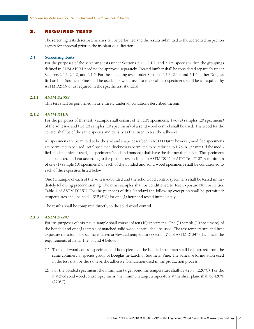#### <span id="page-6-0"></span>2. REQUIRED TESTS

The screening tests described herein shall be performed and the results submitted to the accredited inspection agency for approval prior to the in-plant qualification.

#### 2.1 Screening Tests

For the purposes of the screening tests under Sections 2.1.1, 2.1.2, and 2.1.5, species within the groupings defined in ANSI A190.1 need not be approved separately. Treated lumber shall be considered separately under Sections 2.1.1, 2.1.2, and 2.1.5. For the screening tests under Sections 2.1.3, 2.1.4 and 2.1.6, either Douglas fir-Larch or Southern Pine shall be used. The wood used to make all test specimens shall be as required by ASTM D2559 or as required in the specific test standard.

#### *2.1.1 ASTM D2559*

This test shall be performed in its entirety under all conditions described therein.

# *2.1.2 ASTM D1151*

For the purposes of this test, a sample shall consist of ten (10) specimens. Two (2) samples (20 specimens) of the adhesive and two (2) samples (20 specimens) of a solid wood control shall be used. The wood for the control shall be of the same species and density as that used to test the adhesive.

All specimens are permitted to be the size and shape described in ASTM D905; however, modified specimens are permitted to be used. Total specimen thickness is permitted to be reduced to 1.25 in. (32 mm). If the modified specimen size is used, all specimens (solid and bonded) shall have the thinner dimension. The specimens shall be tested in shear according to the procedures outlined in ASTM D905 or AITC Test T107. A minimum of one (1) sample (10 specimens) of each of the bonded and solid wood specimens shall be conditioned to each of the exposures listed below.

One (1) sample of each of the adhesive-bonded and the solid wood control specimens shall be tested immediately following preconditioning. The other samples shall be conditioned to Test Exposure Number 3 (see Table 1 of ASTM D1151). For the purposes of this Standard the following exception shall be permitted: temperatures shall be held  $\pm$  9°F (5°C) for one (1) hour and tested immediately.

The results shall be compared directly to the solid wood control.

#### *2.1.3 ASTM D7247*

For the purposes of this test, a sample shall consist of ten (10) specimens. One (1) sample (10 specimens) of the bonded and one (1) sample of matched solid wood control shall be used. The test temperature and heat exposure duration for specimens tested at elevated temperature (Section 7.2 of ASTM D7247) shall meet the requirements of Items 1, 2, 3, and 4 below.

- (1) The solid wood control specimen and both pieces of the bonded specimen shall be prepared from the same commercial species group of Douglas fir-Larch or Southern Pine. The adhesive formulation used in the test shall be the same as the adhesive formulation used in the production process.
- (2) For the bonded specimens, the minimum target bondline temperature shall be  $428^{\circ}F(220^{\circ}C)$ . For the matched solid wood control specimens, the minimum target temperature at the shear plane shall be 428°F  $(220^{\circ}C)$ .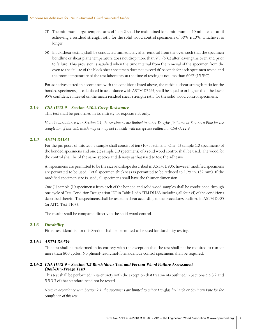- <span id="page-7-0"></span>(3) The minimum target temperatures of Item 2 shall be maintained for a minimum of 10 minutes or until achieving a residual strength ratio for the solid wood control specimens of  $30\% \pm 10\%$ , whichever is longer.
- (4) Block shear testing shall be conducted immediately after removal from the oven such that the specimen bondline or shear plane temperature does not drop more than 9°F (5°C) after leaving the oven and prior to failure. This provision is satisfied when the time interval from the removal of the specimen from the oven to the failure of the block shear specimen does not exceed 60 seconds for each specimen tested and the room temperature of the test laboratory at the time of testing is not less than  $60^{\circ}F(15.5^{\circ}C)$ .

For adhesives tested in accordance with the conditions listed above, the residual shear strength ratio for the bonded specimens, as calculated in accordance with ASTM D7247, shall be equal to or higher than the lower 95% confidence interval on the mean residual shear strength ratio for the solid wood control specimens.

# *2.1.4 CSA O112.9 – Section 4.10.2 Creep Resistance*

This test shall be performed in its entirety for exposure  $B_2$  only.

*Note: In accordance with Section 2.1, the specimens are limited to either Douglas fir-Larch or Southern Pine for the completion of this test, which may or may not coincide with the species outlined in CSA O112.9.*

# *2.1.5 ASTM D1183*

For the purposes of this test, a sample shall consist of ten (10) specimens. One (1) sample (10 specimens) of the bonded specimens and one (1) sample (10 specimens) of a solid wood control shall be used. The wood for the control shall be of the same species and density as that used to test the adhesive.

All specimens are permitted to be the size and shape described in ASTM D905, however modified specimens are permitted to be used. Total specimen thickness is permitted to be reduced to 1.25 in. (32 mm). If the modified specimen size is used, all specimens shall have the thinner dimension.

One (1) sample (10 specimens) from each of the bonded and solid wood samples shall be conditioned through one cycle of Test Condition Designation "D" in Table 1 of ASTM D1183 including all four (4) of the conditions described therein. The specimens shall be tested in shear according to the procedures outlined in ASTM D905 (or AITC Test T107).

The results shall be compared directly to the solid wood control.

#### *2.1.6 Durability*

Either test identified in this Section shall be permitted to be used for durability testing.

# *2.1.6.1 ASTM D3434*

This test shall be performed in its entirety with the exception that the test shall not be required to run for more than 800 cycles. No phenol-resorcinol-formaldehyde control specimens shall be required.

# *2.1.6.2 CSA O112.9 – Section 5.5 Block Shear Test and Percent Wood Failure Assessment (Boil-Dry-Freeze Test)*

This test shall be performed in its entirety with the exception that treatments outlined in Sections 5.5.3.2 and 5.5.3.3 of that standard need not be tested.

*Note: In accordance with Section 2.1, the specimens are limited to either Douglas fir-Larch or Southern Pine for the completion of this test.*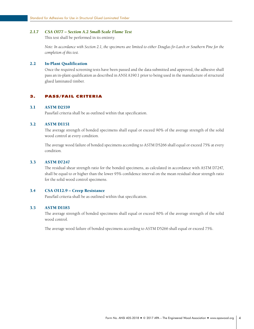# <span id="page-8-0"></span>*2.1.7 CSA O177 – Section A.2 Small-Scale Flame Test*

This test shall be performed in its entirety.

*Note: In accordance with Section 2.1, the specimens are limited to either Douglas fir-Larch or Southern Pine for the completion of this test.*

# 2.2 In-Plant Qualification

Once the required screening tests have been passed and the data submitted and approved, the adhesive shall pass an in-plant qualification as described in ANSI A190.1 prior to being used in the manufacture of structural glued laminated timber.

#### 3. PASS/FAIL CRITERIA

#### 3.1 ASTM D2559

Pass/fail criteria shall be as outlined within that specification.

#### 3.2 ASTM D1151

The average strength of bonded specimens shall equal or exceed 90% of the average strength of the solid wood control at every condition.

The average wood failure of bonded specimens according to ASTM D5266 shall equal or exceed 75% at every condition.

#### 3.3 ASTM D7247

The residual shear strength ratio for the bonded specimens, as calculated in accordance with ASTM D7247, shall be equal to or higher than the lower 95% confidence interval on the mean residual shear strength ratio for the solid wood control specimens.

#### 3.4 CSA O112.9 – Creep Resistance

Pass/fail criteria shall be as outlined within that specification.

### 3.5 ASTM D1183

The average strength of bonded specimens shall equal or exceed 90% of the average strength of the solid wood control.

The average wood failure of bonded specimens according to ASTM D5266 shall equal or exceed 75%.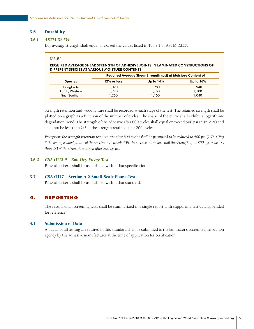# <span id="page-9-0"></span>3.6 Durability

# *3.6.1 ASTM D3434*

Dry average strength shall equal or exceed the values listed in Table 1 or ASTM D2559.

| TABLE |  |
|-------|--|
|       |  |

# REQUIRED AVERAGE SHEAR STRENGTH OF ADHESIVE JOINTS IN LAMINATED CONSTRUCTIONS OF DIFFERENT SPECIES AT VARIOUS MOISTURE CONTENTS

|                | Required Average Shear Strength (psi) at Moisture Content of |             |              |
|----------------|--------------------------------------------------------------|-------------|--------------|
| <b>Species</b> | 12% or less                                                  | Up to $14%$ | Up to $16\%$ |
| Douglas fir    | 1,020                                                        | 980         | 940          |
| Larch, Western | 1,220                                                        | 1,160       | 1,100        |
| Pine, Southern | 1.250                                                        | 1.150       | 1.040        |

Strength retention and wood failure shall be recorded at each stage of the test. The retained strength shall be plotted on a graph as a function of the number of cycles. The shape of the curve shall exhibit a logarithmic degradation trend. The strength of the adhesive after 800 cycles shall equal or exceed 500 psi (3.45 MPa) and shall not be less than 2/3 of the strength retained after 200 cycles.

*Exception: the strength retention requirement after 800 cycles shall be permitted to be reduced to 400 psi (2.76 MPa) if the average wood failure of the specimens exceeds 75%. In no case, however, shall the strength after 800 cycles be less than 2/3 of the strength retained after 200 cycles.* 

# *3.6.2 CSA O112.9 – Boil-Dry-Freeze Test*

Pass/fail criteria shall be as outlined within that specification.

# 3.7 CSA O177 – Section A.2 Small-Scale Flame Test

Pass/fail criteria shall be as outlined within that standard.

# 4. REPORTING

The results of all screening tests shall be summarized in a single report with supporting test data appended for reference.

# 4.1 Submission of Data

All data for all testing as required in this Standard shall be submitted to the laminator's accredited inspection agency by the adhesive manufacturer at the time of application for certification.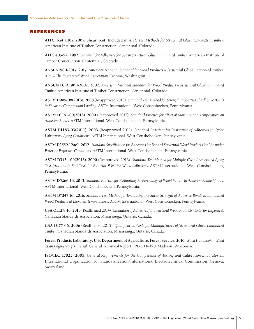#### <span id="page-10-0"></span>REFERENCES

**AITC Test T107. 2007. Shear Test.** Included in *AITC Test Methods for Structural Glued Laminated Timber.*  American Institute of Timber Construction. Centennial, Colorado.

**AITC 405-92. 1992.** *Standard for Adhesives for Use in Structural Glued Laminated Timber.* American Institute of Timber Construction. Centennial, Colorado.

**ANSI A190.1-2017. 2017.** *American National Standard for Wood Products – Structural Glued Laminated Timber. APA – The Engineered Wood Association.* Tacoma, Washington.

**ANSI/AITC A190.1-2002. 2002.** *American National Standard for Wood Products – Structural Glued Laminated Timber.* American Institute of Timber Construction. Centennial, Colorado.

**ASTM D905-08(2013). 2008** (Reapproved 2013)**.** *Standard Test Method for Strength Properties of Adhesive Bonds in Shear by Compression Loading.* ASTM International. West Conshohocken, Pennsylvania.

**ASTM D1151-00(2013). 2000** (Reapproved 2013). *Standard Practice for Effect of Moisture and Temperature on Adhesive Bonds.* ASTM International. West Conshohocken, Pennsylvania.

**ASTM D1183-03(2011). 2003** (Reapproved 2011). *Standard Practices for Resistance of Adhesives to Cyclic Laboratory Aging Conditions.* ASTM International. West Conshohocken, Pennsylvania.

**ASTM D2559-12ae1. 2012.** *Standard Specification for Adhesives for Bonded Structural Wood Products for Use under Exterior Exposure Conditions.* ASTM International. West Conshohocken, Pennsylvania.

**ASTM D3434-00(2013). 2000** (Reapproved 2013). *Standard Test Method for Multiple-Cycle Accelerated Aging Test (Automatic Boil Test) for Exterior Wet Use Wood Adhesives.* ASTM International. West Conshohocken, Pennsylvania.

**ASTM D5266-13. 2013.** *Standard Practice for Estimating the Percentage of Wood Failure in Adhesive Bonded Joints.*  ASTM International. West Conshohocken, Pennsylvania.

**ASTM D7247-16. 2016.** *Standard Test Method for Evaluating the Shear Strength of Adhesive Bonds in Laminated Wood Products at Elevated Temperatures.* ASTM International. West Conshohocken, Pennsylvania.

**CSA O112.9-10. 2010** (Reaffirmed 2014). *Evaluation of Adhesives for Structural Wood Products (Exterior Exposure).*  Canadian Standards Association. Mississauga, Ontario, Canada.

**CSA O177-06. 2006** (Reaffirmed 2015). *Qualification Code for Manufacturers of Structural Glued-Laminated Timber*. Canadian Standards Association. Mississauga, Ontario, Canada.

**Forest Products Laboratory, U.S. Department of Agriculture, Forest Service. 2010.** *Wood Handbook – Wood as an Engineering Material.* General Technical Report FPL-GTR-190. Madison, Wisconsin.

**ISO/IEC 17025. 2005.** *General Requirements for the Competence of Testing and Calibration Laboratories.* International Organization for Standardization/International Electrotechnical Commission. Geneva, Switzerland.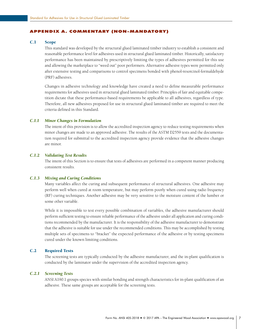# <span id="page-11-0"></span>APPENDIX A. COMMENTARY (NON-MANDATORY)

# C.1 Scope

This standard was developed by the structural glued laminated timber industry to establish a consistent and reasonable performance level for adhesives used in structural glued laminated timber. Historically, satisfactory performance has been maintained by prescriptively limiting the types of adhesives permitted for this use and allowing the marketplace to "weed out" poor performers. Alternative adhesive types were permitted only after extensive testing and comparisons to control specimens bonded with phenol-resorcinol-formaldehyde (PRF) adhesives.

Changes in adhesive technology and knowledge have created a need to define measurable performance requirements for adhesives used in structural glued laminated timber. Principles of fair and equitable competition dictate that these performance-based requirements be applicable to all adhesives, regardless of type. Therefore, all new adhesives proposed for use in structural glued laminated timber are required to meet the criteria defined in this Standard.

# *C.1.1 Minor Changes in Formulation*

The intent of this provision is to allow the accredited inspection agency to reduce testing requirements when minor changes are made to an approved adhesive. The results of the ASTM D2559 tests and the documentation required for submittal to the accredited inspection agency provide evidence that the adhesive changes are minor.

# *C.1.2 Validating Test Results*

The intent of this Section is to ensure that tests of adhesives are performed in a competent manner producing consistent results.

#### *C.1.3 Mixing and Curing Conditions*

Many variables affect the curing and subsequent performance of structural adhesives. One adhesive may perform well when cured at room temperature, but may perform poorly when cured using radio frequency (RF) curing techniques. Another adhesive may be very sensitive to the moisture content of the lumber or some other variable.

While it is impossible to test every possible combination of variables, the adhesive manufacturer should perform sufficient testing to ensure reliable performance of the adhesive under all application and curing conditions recommended by the manufacturer. It is the responsibility of the adhesive manufacturer to demonstrate that the adhesive is suitable for use under the recommended conditions. This may be accomplished by testing multiple sets of specimens to "bracket" the expected performance of the adhesive or by testing specimens cured under the known limiting conditions.

#### C.2 Required Tests

The screening tests are typically conducted by the adhesive manufacturer, and the in-plant qualification is conducted by the laminator under the supervision of the accredited inspection agency.

#### *C.2.1 Screening Tests*

ANSI A190.1 groups species with similar bonding and strength characteristics for in-plant qualification of an adhesive. These same groups are acceptable for the screening tests.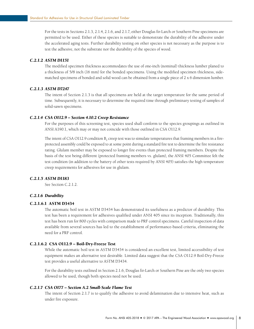For the tests in Sections 2.1.3, 2.1.4, 2.1.6, and 2.1.7, either Douglas fir-Larch or Southern Pine specimens are permitted to be used. Either of these species is suitable to demonstrate the durability of the adhesive under the accelerated aging tests. Further durability testing on other species is not necessary as the purpose is to test the adhesive, not the substrate nor the durability of the species of wood.

# *C.2.1.2 ASTM D1151*

The modified specimen thickness accommodates the use of one-inch (nominal) thickness lumber planed to a thickness of 5/8 inch (16 mm) for the bonded specimens. Using the modified specimen thickness, sidematched specimens of bonded and solid wood can be obtained from a single piece of 2 x 6 dimension lumber.

# *C.2.1.3 ASTM D7247*

The intent of Section 2.1.3 is that all specimens are held at the target temperature for the same period of time. Subsequently, it is necessary to determine the required time through preliminary testing of samples of solid-sawn specimens.

#### *C.2.1.4 CSA O112.9 – Section 4.10.2 Creep Resistance*

For the purposes of this screening test, species used shall conform to the species groupings as outlined in ANSI A190.1, which may or may not coincide with those outlined in CSA O112.9.

The intent of CSA O112.9 condition B, creep test was to simulate temperatures that framing members in a fireprotected assembly could be exposed to at some point during a standard fire test to determine the fire resistance rating. Glulam member may be exposed to longer fire events than protected framing members. Despite the basis of the test being different (protected framing members vs. glulam), the ANSI 405 Committee felt the test condition (in addition to the battery of other tests required by ANSI 405) satisfies the high temperature creep requirements for adhesives for use in glulam.

# *C.2.1.5 ASTM D1183*

See Section C.2.1.2.

#### *C.2.1.6 Durability*

# C.2.1.6.1 ASTM D3434

The automatic boil test in ASTM D3434 has demonstrated its usefulness as a predictor of durability. This test has been a requirement for adhesives qualified under ANSI 405 since its inception. Traditionally, this test has been run for 800 cycles with comparison made to PRF control specimens. Careful inspection of data available from several sources has led to the establishment of performance-based criteria, eliminating the need for a PRF control.

#### C.2.1.6.2 CSA O112.9 – Boil-Dry-Freeze Test

While the automatic boil test in ASTM D3434 is considered an excellent test, limited accessibility of test equipment makes an alternative test desirable. Limited data suggest that the CSA O112.9 Boil-Dry-Freeze test provides a useful alternative to ASTM D3434.

For the durability tests outlined in Section 2.1.6, Douglas fir-Larch or Southern Pine are the only two species allowed to be used, though both species need not be used.

# *C.2.1.7 CSA O177 – Section A.2 Small-Scale Flame Test*

The intent of Section 2.1.7 is to qualify the adhesive to avoid delamination due to intensive heat, such as under fire exposure.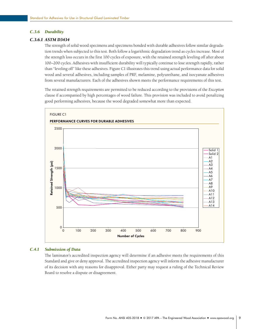#### *C.3.6 Durability*

#### *C.3.6.1 ASTM D3434*

The strength of solid wood specimens and specimens bonded with durable adhesives follow similar degradation trends when subjected to this test. Both follow a logarithmic degradation trend as cycles increase. Most of the strength loss occurs in the first 100 cycles of exposure, with the retained strength leveling off after about 100–200 cycles. Adhesives with insufficient durability will typically continue to lose strength rapidly, rather than "leveling off" like these adhesives. Figure C1 illustrates this trend using actual performance data for solid wood and several adhesives, including samples of PRF, melamine, polyurethane, and isocyanate adhesives from several manufacturers. Each of the adhesives shown meets the performance requirements of this test.

The retained strength requirements are permitted to be reduced according to the provisions of the *Exception*  clause if accompanied by high percentages of wood failure. This provision was included to avoid penalizing good performing adhesives, because the wood degraded somewhat more than expected.



#### *C.4.1 Submission of Data*

The laminator's accredited inspection agency will determine if an adhesive meets the requirements of this Standard and give or deny approval. The accredited inspection agency will inform the adhesive manufacturer of its decision with any reasons for disapproval. Either party may request a ruling of the Technical Review Board to resolve a dispute or disagreement.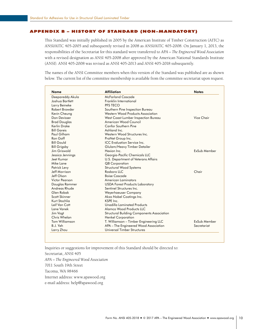#### <span id="page-14-0"></span>APPENDIX B – HISTORY OF STANDARD (NON-MANDATORY)

This Standard was initially published in 2005 by the American Institute of Timber Construction (AITC) as ANSI/AITC 405-2005 and subsequently revised in 2008 as ANSI/AITC 405-2008. On January 1, 2013, the responsibilities of the Secretariat for this standard were transferred to *APA – The Engineered Wood Association*  with a revised designation as ANSI 405-2008 after approved by the American National Standards Institute (ANSI). ANSI 405-2008 was revised as ANSI 405-2013 and ANSI 405-2018 subsequently.

The names of the ANSI Committee members when this version of the Standard was published are as shown below. The current list of the committee membership is available from the committee secretariat upon request.

| <b>Name</b>           | <b>Affiliation</b>                                | <b>Notes</b> |  |
|-----------------------|---------------------------------------------------|--------------|--|
| Deepareddy Akula      | McFarland Cascade                                 |              |  |
| Joshua Bartlett       | Franklin International                            |              |  |
| Larry Beineke         | PFS TECO                                          |              |  |
| Robert Browder        | Southern Pine Inspection Bureau                   |              |  |
| Kevin Cheung          | Western Wood Products Association                 |              |  |
| Don Devisser          | West Coast Lumber Inspection Bureau               | Vice Chair   |  |
| <b>Brad Douglas</b>   | American Wood Council                             |              |  |
| Kerlin Drake          | <b>Canfor Southern Pine</b>                       |              |  |
| <b>Bill Gareis</b>    | Ashland Inc.                                      |              |  |
| Paul Gilham           | Western Wood Structures Inc.                      |              |  |
| Ron Goff              | ProNet Group Inc.                                 |              |  |
| <b>Bill Gould</b>     | <b>ICC</b> Evaluation Service Inc.                |              |  |
| <b>Bill Grigsby</b>   | Glulam/Heavy Timber Detailer                      |              |  |
| Jim Griswold          | Hexion Inc.                                       | ExSub Member |  |
| Jessica Jennings      | Georgia-Pacific Chemicals LLC                     |              |  |
| Jeet Kumar            | U.S. Department of Veterans Affairs               |              |  |
| Mike Lane             | <b>QB</b> Corporation                             |              |  |
| Patrick Levy          | <b>Structural Wood Systems</b>                    |              |  |
| Jeff Morrison         | Roshoro IIC                                       | Chair        |  |
| Jeff Olson            | <b>Boise Cascade</b>                              |              |  |
| <b>Victor Pearson</b> | <b>American Laminators</b>                        |              |  |
| Douglas Rammer        | <b>USDA Forest Products Laboratory</b>            |              |  |
| Andreas Rhude         | Sentinel Structures Inc.                          |              |  |
| Glen Robak            | Weyerhaeuser Company                              |              |  |
| Scott Skinner         | Akzo Nobel Coatings Inc.                          |              |  |
| Kurt Stochlia         | KSPF Inc.                                         |              |  |
| Leif Van Cott         | Unadilla Laminated Products                       |              |  |
| Lane Vanek            | Alamco Wood Products LLC                          |              |  |
| Jim Vogt              | <b>Structural Building Components Association</b> |              |  |
| Chris Whelan          | Henkel Corporation                                |              |  |
| <b>Tom Williamson</b> | T. Williamson – Timber Engineering LLC            | ExSub Member |  |
| B.J. Yeh              | APA - The Engineered Wood Association             | Secretariat  |  |
| Larry Zhou            | Universal Timber Structures                       |              |  |

Inquiries or suggestions for improvement of this Standard should be directed to: Secretariat, ANSI 405

*APA – The Engineered Wood Association*

7011 South 19th Street

Tacoma, WA 98466

Internet address: [www.apawood.org](http://
www.apawood.org)

e-mail address: [help@apawood.org](mailto:help%40apawood.org%0D?subject=ANSI%20405)